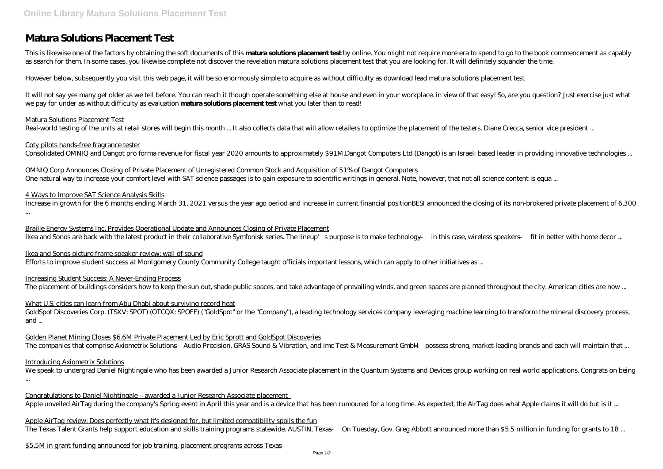# **Matura Solutions Placement Test**

This is likewise one of the factors by obtaining the soft documents of this **matura solutions placement test** by online. You might not require more era to spend to go to the book commencement as capably as search for them. In some cases, you likewise complete not discover the revelation matura solutions placement test that you are looking for. It will definitely squander the time.

However below, subsequently you visit this web page, it will be so enormously simple to acquire as without difficulty as download lead matura solutions placement test

OMNIQ Corp Announces Closing of Private Placement of Unregistered Common Stock and Acquisition of 51% of Dangot Computers One natural way to increase your comfort level with SAT science passages is to gain exposure to scientific writings in general. Note, however, that not all science content is equa ...

It will not say yes many get older as we tell before. You can reach it though operate something else at house and even in your workplace. in view of that easy! So, are you question? Just exercise just what we pay for under as without difficulty as evaluation **matura solutions placement test** what you later than to read!

#### Matura Solutions Placement Test

Real-world testing of the units at retail stores will begin this month ... It also collects data that will allow retailers to optimize the placement of the testers. Diane Crecca, senior vice president ...

Braille Energy Systems Inc. Provides Operational Update and Announces Closing of Private Placement Ikea and Sonos are back with the latest product in their collaborative Symfonisk series. The lineup's purpose is to make technology — in this case, wireless speakers — fit in better with home decor ...

#### Coty pilots hands-free fragrance tester

Consolidated OMNIQ and Dangot pro forma revenue for fiscal year 2020 amounts to approximately \$91M.Dangot Computers Ltd (Dangot) is an Israeli based leader in providing innovative technologies ...

GoldSpot Discoveries Corp. (TSXV: SPOT) (OTCQX: SPOFF) ("GoldSpot" or the "Company"), a leading technology services company leveraging machine learning to transform the mineral discovery process, and ...

Golden Planet Mining Closes \$6.6M Private Placement Led by Eric Sprott and GoldSpot Discoveries The companies that comprise Axiometrix Solutions—Audio Precision, GRAS Sound & Vibration, and imc Test & Measurement GmbH—possess strong, market-leading brands and each will maintain that ...

#### 4 Ways to Improve SAT Science Analysis Skills

We speak to undergrad Daniel Nightingale who has been awarded a Junior Research Associate placement in the Quantum Systems and Devices group working on real world applications. Congrats on being ...

Congratulations to Daniel Nightingale – awarded a Junior Research Associate placement Apple unveiled AirTag during the company's Spring event in April this year and is a device that has been rumoured for a long time. As expected, the AirTag does what Apple claims it will do but is it ...

Increase in growth for the 6 months ending March 31, 2021 versus the year ago period and increase in current financial positionBESI announced the closing of its non-brokered private placement of 6,300 ...

Ikea and Sonos picture frame speaker review: wall of sound Efforts to improve student success at Montgomery County Community College taught officials important lessons, which can apply to other initiatives as ...

#### Increasing Student Success: A Never-Ending Process

The placement of buildings considers how to keep the sun out, shade public spaces, and take advantage of prevailing winds, and green spaces are planned throughout the city. American cities are now ...

### What U.S. cities can learn from Abu Dhabi about surviving record heat

#### Introducing Axiometrix Solutions

Apple AirTag review: Does perfectly what it's designed for, but limited compatibility spoils the fun The Texas Talent Grants help support education and skills training programs statewide. AUSTIN, Texas — On Tuesday, Gov. Greg Abbott announced more than \$5.5 million in funding for grants to 18 ...

\$5.5M in grant funding announced for job training, placement programs across Texas